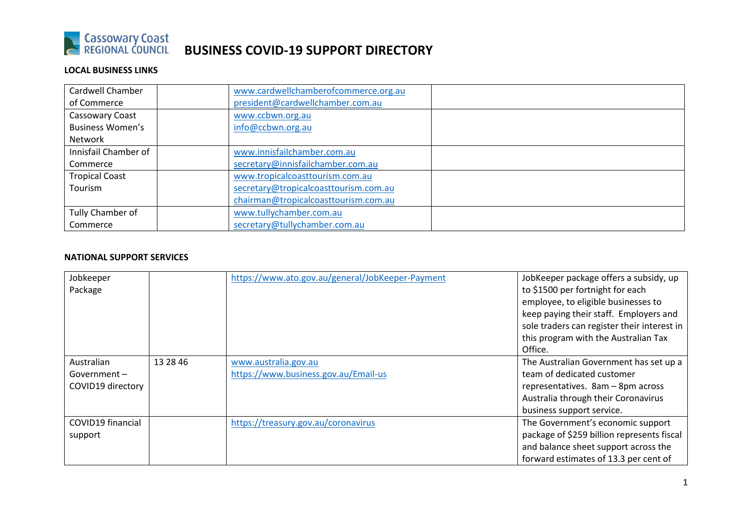

# **BUSINESS COVID-19 SUPPORT DIRECTORY**

### **LOCAL BUSINESS LINKS**

| Cardwell Chamber        | www.cardwellchamberofcommerce.org.au  |  |
|-------------------------|---------------------------------------|--|
| of Commerce             | president@cardwellchamber.com.au      |  |
| Cassowary Coast         | www.ccbwn.org.au                      |  |
| <b>Business Women's</b> | info@ccbwn.org.au                     |  |
| Network                 |                                       |  |
| Innisfail Chamber of    | www.innisfailchamber.com.au           |  |
| Commerce                | secretary@innisfailchamber.com.au     |  |
| <b>Tropical Coast</b>   | www.tropicalcoasttourism.com.au       |  |
| Tourism                 | secretary@tropicalcoasttourism.com.au |  |
|                         | chairman@tropicalcoasttourism.com.au  |  |
| Tully Chamber of        | www.tullychamber.com.au               |  |
| Commerce                | secretary@tullychamber.com.au         |  |

#### **NATIONAL SUPPORT SERVICES**

| Jobkeeper<br>Package                              |          | https://www.ato.gov.au/general/JobKeeper-Payment             | JobKeeper package offers a subsidy, up<br>to \$1500 per fortnight for each<br>employee, to eligible businesses to<br>keep paying their staff. Employers and<br>sole traders can register their interest in<br>this program with the Australian Tax<br>Office. |
|---------------------------------------------------|----------|--------------------------------------------------------------|---------------------------------------------------------------------------------------------------------------------------------------------------------------------------------------------------------------------------------------------------------------|
| Australian<br>Government $-$<br>COVID19 directory | 13 28 46 | www.australia.gov.au<br>https://www.business.gov.au/Email-us | The Australian Government has set up a<br>team of dedicated customer<br>representatives. 8am - 8pm across<br>Australia through their Coronavirus<br>business support service.                                                                                 |
| COVID19 financial<br>support                      |          | https://treasury.gov.au/coronavirus                          | The Government's economic support<br>package of \$259 billion represents fiscal<br>and balance sheet support across the<br>forward estimates of 13.3 per cent of                                                                                              |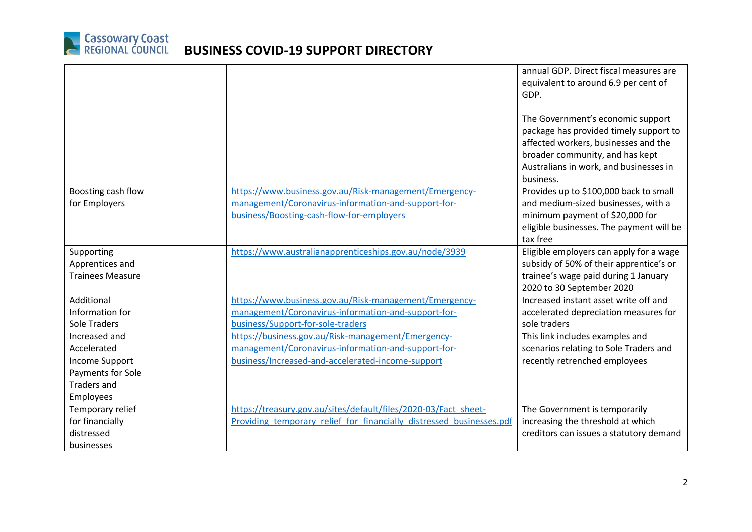

|                                                                                                        |                                                                                                                                                                | annual GDP. Direct fiscal measures are<br>equivalent to around 6.9 per cent of<br>GDP.                                                                                                                        |
|--------------------------------------------------------------------------------------------------------|----------------------------------------------------------------------------------------------------------------------------------------------------------------|---------------------------------------------------------------------------------------------------------------------------------------------------------------------------------------------------------------|
|                                                                                                        |                                                                                                                                                                | The Government's economic support<br>package has provided timely support to<br>affected workers, businesses and the<br>broader community, and has kept<br>Australians in work, and businesses in<br>business. |
| Boosting cash flow<br>for Employers                                                                    | https://www.business.gov.au/Risk-management/Emergency-<br>management/Coronavirus-information-and-support-for-<br>business/Boosting-cash-flow-for-employers     | Provides up to \$100,000 back to small<br>and medium-sized businesses, with a<br>minimum payment of \$20,000 for<br>eligible businesses. The payment will be<br>tax free                                      |
| Supporting<br>Apprentices and<br><b>Trainees Measure</b>                                               | https://www.australianapprenticeships.gov.au/node/3939                                                                                                         | Eligible employers can apply for a wage<br>subsidy of 50% of their apprentice's or<br>trainee's wage paid during 1 January<br>2020 to 30 September 2020                                                       |
| Additional<br>Information for<br>Sole Traders                                                          | https://www.business.gov.au/Risk-management/Emergency-<br>management/Coronavirus-information-and-support-for-<br>business/Support-for-sole-traders             | Increased instant asset write off and<br>accelerated depreciation measures for<br>sole traders                                                                                                                |
| Increased and<br>Accelerated<br>Income Support<br>Payments for Sole<br><b>Traders and</b><br>Employees | https://business.gov.au/Risk-management/Emergency-<br>management/Coronavirus-information-and-support-for-<br>business/Increased-and-accelerated-income-support | This link includes examples and<br>scenarios relating to Sole Traders and<br>recently retrenched employees                                                                                                    |
| Temporary relief<br>for financially<br>distressed<br>businesses                                        | https://treasury.gov.au/sites/default/files/2020-03/Fact sheet-<br>Providing temporary relief for financially distressed businesses.pdf                        | The Government is temporarily<br>increasing the threshold at which<br>creditors can issues a statutory demand                                                                                                 |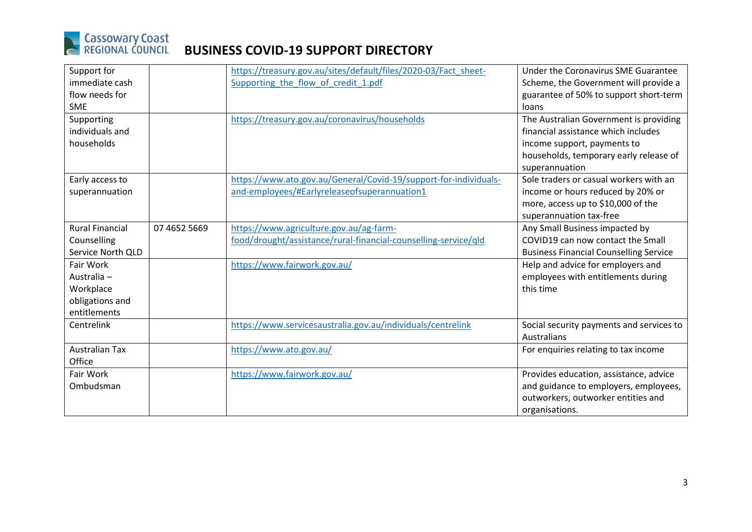# **BUSINESS COVID-19 SUPPORT DIRECTORY**

| Support for            |              | https://treasury.gov.au/sites/default/files/2020-03/Fact sheet-  | Under the Coronavirus SME Guarantee           |
|------------------------|--------------|------------------------------------------------------------------|-----------------------------------------------|
| immediate cash         |              | Supporting the flow of credit 1.pdf                              | Scheme, the Government will provide a         |
| flow needs for         |              |                                                                  | guarantee of 50% to support short-term        |
| <b>SME</b>             |              |                                                                  | loans                                         |
| Supporting             |              | https://treasury.gov.au/coronavirus/households                   | The Australian Government is providing        |
| individuals and        |              |                                                                  | financial assistance which includes           |
| households             |              |                                                                  | income support, payments to                   |
|                        |              |                                                                  | households, temporary early release of        |
|                        |              |                                                                  | superannuation                                |
| Early access to        |              | https://www.ato.gov.au/General/Covid-19/support-for-individuals- | Sole traders or casual workers with an        |
| superannuation         |              | and-employees/#Earlyreleaseofsuperannuation1                     | income or hours reduced by 20% or             |
|                        |              |                                                                  | more, access up to \$10,000 of the            |
|                        |              |                                                                  | superannuation tax-free                       |
| <b>Rural Financial</b> | 07 4652 5669 | https://www.agriculture.gov.au/ag-farm-                          | Any Small Business impacted by                |
| Counselling            |              | food/drought/assistance/rural-financial-counselling-service/qld  | COVID19 can now contact the Small             |
| Service North QLD      |              |                                                                  | <b>Business Financial Counselling Service</b> |
| Fair Work              |              | https://www.fairwork.gov.au/                                     | Help and advice for employers and             |
| Australia -            |              |                                                                  | employees with entitlements during            |
| Workplace              |              |                                                                  | this time                                     |
| obligations and        |              |                                                                  |                                               |
| entitlements           |              |                                                                  |                                               |
| Centrelink             |              | https://www.servicesaustralia.gov.au/individuals/centrelink      | Social security payments and services to      |
|                        |              |                                                                  | Australians                                   |
| <b>Australian Tax</b>  |              | https://www.ato.gov.au/                                          | For enquiries relating to tax income          |
| Office                 |              |                                                                  |                                               |
| Fair Work              |              | https://www.fairwork.gov.au/                                     | Provides education, assistance, advice        |
| Ombudsman              |              |                                                                  | and guidance to employers, employees,         |
|                        |              |                                                                  | outworkers, outworker entities and            |
|                        |              |                                                                  | organisations.                                |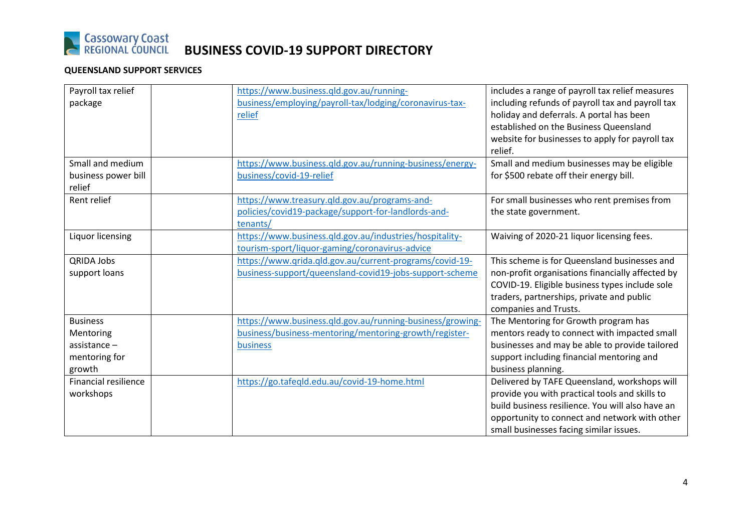

### **QUEENSLAND SUPPORT SERVICES**

| Payroll tax relief          | https://www.business.qld.gov.au/running-                  | includes a range of payroll tax relief measures  |
|-----------------------------|-----------------------------------------------------------|--------------------------------------------------|
| package                     | business/employing/payroll-tax/lodging/coronavirus-tax-   | including refunds of payroll tax and payroll tax |
|                             | relief                                                    | holiday and deferrals. A portal has been         |
|                             |                                                           | established on the Business Queensland           |
|                             |                                                           | website for businesses to apply for payroll tax  |
|                             |                                                           | relief.                                          |
| Small and medium            | https://www.business.qld.gov.au/running-business/energy-  | Small and medium businesses may be eligible      |
| business power bill         | business/covid-19-relief                                  | for \$500 rebate off their energy bill.          |
| relief                      |                                                           |                                                  |
| Rent relief                 | https://www.treasury.qld.gov.au/programs-and-             | For small businesses who rent premises from      |
|                             | policies/covid19-package/support-for-landlords-and-       | the state government.                            |
|                             | tenants/                                                  |                                                  |
| Liquor licensing            | https://www.business.qld.gov.au/industries/hospitality-   | Waiving of 2020-21 liquor licensing fees.        |
|                             | tourism-sport/liquor-gaming/coronavirus-advice            |                                                  |
| <b>QRIDA Jobs</b>           | https://www.qrida.qld.gov.au/current-programs/covid-19-   | This scheme is for Queensland businesses and     |
| support loans               | business-support/queensland-covid19-jobs-support-scheme   | non-profit organisations financially affected by |
|                             |                                                           | COVID-19. Eligible business types include sole   |
|                             |                                                           | traders, partnerships, private and public        |
|                             |                                                           | companies and Trusts.                            |
| <b>Business</b>             | https://www.business.qld.gov.au/running-business/growing- | The Mentoring for Growth program has             |
| Mentoring                   | business/business-mentoring/mentoring-growth/register-    | mentors ready to connect with impacted small     |
| $assistance -$              | business                                                  | businesses and may be able to provide tailored   |
| mentoring for               |                                                           | support including financial mentoring and        |
| growth                      |                                                           | business planning.                               |
| <b>Financial resilience</b> | https://go.tafeqld.edu.au/covid-19-home.html              | Delivered by TAFE Queensland, workshops will     |
| workshops                   |                                                           | provide you with practical tools and skills to   |
|                             |                                                           | build business resilience. You will also have an |
|                             |                                                           | opportunity to connect and network with other    |
|                             |                                                           | small businesses facing similar issues.          |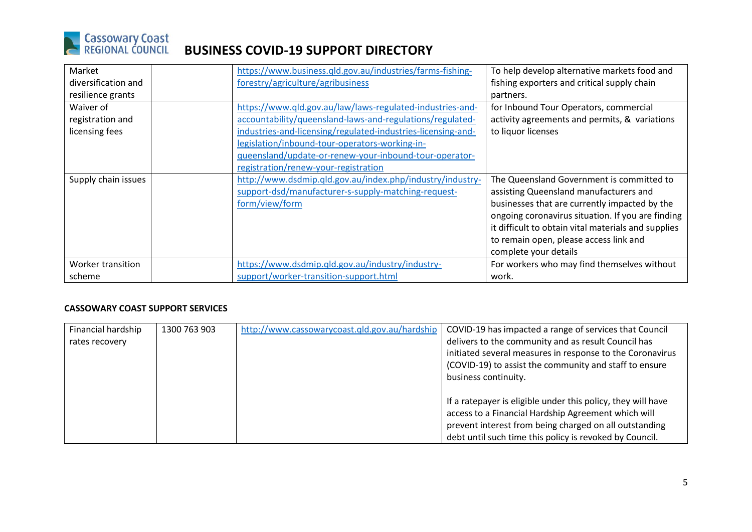

| Market              | https://www.business.qld.gov.au/industries/farms-fishing-    | To help develop alternative markets food and        |
|---------------------|--------------------------------------------------------------|-----------------------------------------------------|
| diversification and | forestry/agriculture/agribusiness                            | fishing exporters and critical supply chain         |
| resilience grants   |                                                              | partners.                                           |
| Waiver of           | https://www.qld.gov.au/law/laws-regulated-industries-and-    | for Inbound Tour Operators, commercial              |
| registration and    | accountability/queensland-laws-and-regulations/regulated-    | activity agreements and permits, & variations       |
| licensing fees      | industries-and-licensing/regulated-industries-licensing-and- | to liquor licenses                                  |
|                     | legislation/inbound-tour-operators-working-in-               |                                                     |
|                     | queensland/update-or-renew-your-inbound-tour-operator-       |                                                     |
|                     | registration/renew-your-registration                         |                                                     |
| Supply chain issues | http://www.dsdmip.qld.gov.au/index.php/industry/industry-    | The Queensland Government is committed to           |
|                     | support-dsd/manufacturer-s-supply-matching-request-          | assisting Queensland manufacturers and              |
|                     | form/view/form                                               | businesses that are currently impacted by the       |
|                     |                                                              | ongoing coronavirus situation. If you are finding   |
|                     |                                                              | it difficult to obtain vital materials and supplies |
|                     |                                                              | to remain open, please access link and              |
|                     |                                                              | complete your details                               |
| Worker transition   | https://www.dsdmip.qld.gov.au/industry/industry-             | For workers who may find themselves without         |
| scheme              | support/worker-transition-support.html                       | work.                                               |

## **CASSOWARY COAST SUPPORT SERVICES**

| Financial hardship | 1300 763 903 | http://www.cassowarycoast.qld.gov.au/hardship | COVID-19 has impacted a range of services that Council       |
|--------------------|--------------|-----------------------------------------------|--------------------------------------------------------------|
| rates recovery     |              |                                               | delivers to the community and as result Council has          |
|                    |              |                                               | initiated several measures in response to the Coronavirus    |
|                    |              |                                               | (COVID-19) to assist the community and staff to ensure       |
|                    |              |                                               | business continuity.                                         |
|                    |              |                                               |                                                              |
|                    |              |                                               | If a ratepayer is eligible under this policy, they will have |
|                    |              |                                               | access to a Financial Hardship Agreement which will          |
|                    |              |                                               | prevent interest from being charged on all outstanding       |
|                    |              |                                               | debt until such time this policy is revoked by Council.      |